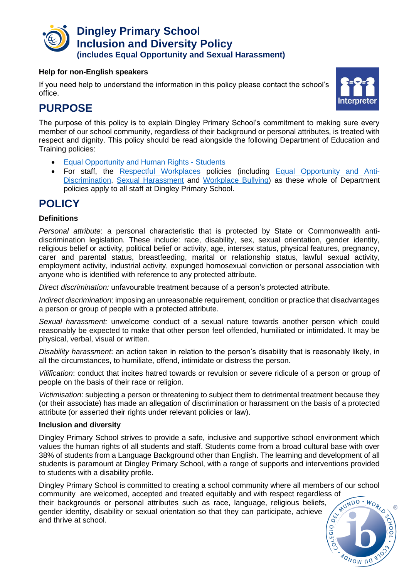

#### **Help for non-English speakers**

If you need help to understand the information in this policy please contact the school's office.



## **PURPOSE**

The purpose of this policy is to explain Dingley Primary School's commitment to making sure every member of our school community, regardless of their background or personal attributes, is treated with respect and dignity. This policy should be read alongside the following Department of Education and Training policies:

- [Equal Opportunity and Human Rights -](https://www2.education.vic.gov.au/pal/equal-opportunity-human-rights-students/policy) Students
- For staff, the [Respectful Workplaces](https://www2.education.vic.gov.au/pal/respectful-workplaces/overview) policies (including [Equal Opportunity and Anti-](https://www2.education.vic.gov.au/pal/equal-opportunity/overview)[Discrimination,](https://www2.education.vic.gov.au/pal/equal-opportunity/overview) [Sexual Harassment](https://www2.education.vic.gov.au/pal/sexual-harassment/overview) and [Workplace Bullying\)](https://www2.education.vic.gov.au/pal/workplace-bullying/policy) as these whole of Department policies apply to all staff at Dingley Primary School.

# **POLICY**

#### **Definitions**

*Personal attribute*: a personal characteristic that is protected by State or Commonwealth antidiscrimination legislation. These include: race, disability, sex, sexual orientation, gender identity, religious belief or activity, political belief or activity, age, intersex status, physical features, pregnancy, carer and parental status, breastfeeding, marital or relationship status, lawful sexual activity, employment activity, industrial activity, expunged homosexual conviction or personal association with anyone who is identified with reference to any protected attribute.

*Direct discrimination:* unfavourable treatment because of a person's protected attribute.

*Indirect discrimination*: imposing an unreasonable requirement, condition or practice that disadvantages a person or group of people with a protected attribute.

*Sexual harassment:* unwelcome conduct of a sexual nature towards another person which could reasonably be expected to make that other person feel offended, humiliated or intimidated. It may be physical, verbal, visual or written.

*Disability harassment*: an action taken in relation to the person's disability that is reasonably likely, in all the circumstances, to humiliate, offend, intimidate or distress the person.

*Vilification*: conduct that incites hatred towards or revulsion or severe ridicule of a person or group of people on the basis of their race or religion.

*Victimisation*: subjecting a person or threatening to subject them to detrimental treatment because they (or their associate) has made an allegation of discrimination or harassment on the basis of a protected attribute (or asserted their rights under relevant policies or law).

#### **Inclusion and diversity**

Dingley Primary School strives to provide a safe, inclusive and supportive school environment which values the human rights of all students and staff. Students come from a broad cultural base with over 38% of students from a Language Background other than English. The learning and development of all students is paramount at Dingley Primary School, with a range of supports and interventions provided to students with a disability profile.

Dingley Primary School is committed to creating a school community where all members of our school community are welcomed, accepted and treated equitably and with respect regardless of<br>their backgrounds or personal attributes such as race, language. religious beliefs their backgrounds or personal attributes such as race, language, religious beliefs, gender identity, disability or sexual orientation so that they can participate, achieve and thrive at school.

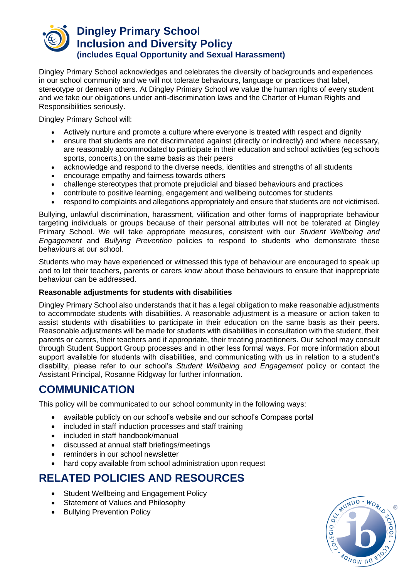

Dingley Primary School acknowledges and celebrates the diversity of backgrounds and experiences in our school community and we will not tolerate behaviours, language or practices that label, stereotype or demean others. At Dingley Primary School we value the human rights of every student and we take our obligations under anti-discrimination laws and the Charter of Human Rights and Responsibilities seriously.

Dingley Primary School will:

- Actively nurture and promote a culture where everyone is treated with respect and dignity
- ensure that students are not discriminated against (directly or indirectly) and where necessary, are reasonably accommodated to participate in their education and school activities (eg schools sports, concerts,) on the same basis as their peers
- acknowledge and respond to the diverse needs, identities and strengths of all students
- encourage empathy and fairness towards others
- challenge stereotypes that promote prejudicial and biased behaviours and practices
- contribute to positive learning, engagement and wellbeing outcomes for students
- respond to complaints and allegations appropriately and ensure that students are not victimised.

Bullying, unlawful discrimination, harassment, vilification and other forms of inappropriate behaviour targeting individuals or groups because of their personal attributes will not be tolerated at Dingley Primary School. We will take appropriate measures, consistent with our *Student Wellbeing and Engagement* and *Bullying Prevention* policies to respond to students who demonstrate these behaviours at our school.

Students who may have experienced or witnessed this type of behaviour are encouraged to speak up and to let their teachers, parents or carers know about those behaviours to ensure that inappropriate behaviour can be addressed.

#### **Reasonable adjustments for students with disabilities**

Dingley Primary School also understands that it has a legal obligation to make reasonable adjustments to accommodate students with disabilities. A reasonable adjustment is a measure or action taken to assist students with disabilities to participate in their education on the same basis as their peers. Reasonable adjustments will be made for students with disabilities in consultation with the student, their parents or carers, their teachers and if appropriate, their treating practitioners. Our school may consult through Student Support Group processes and in other less formal ways. For more information about support available for students with disabilities, and communicating with us in relation to a student's disability, please refer to our school's *Student Wellbeing and Engagement* policy or contact the Assistant Principal, Rosanne Ridgway for further information.

## **COMMUNICATION**

This policy will be communicated to our school community in the following ways:

- available publicly on our school's website and our school's Compass portal
- included in staff induction processes and staff training
- included in staff handbook/manual
- discussed at annual staff briefings/meetings
- reminders in our school newsletter
- hard copy available from school administration upon request

### **RELATED POLICIES AND RESOURCES**

- Student Wellbeing and Engagement Policy
- Statement of Values and Philosophy
- Bullying Prevention Policy